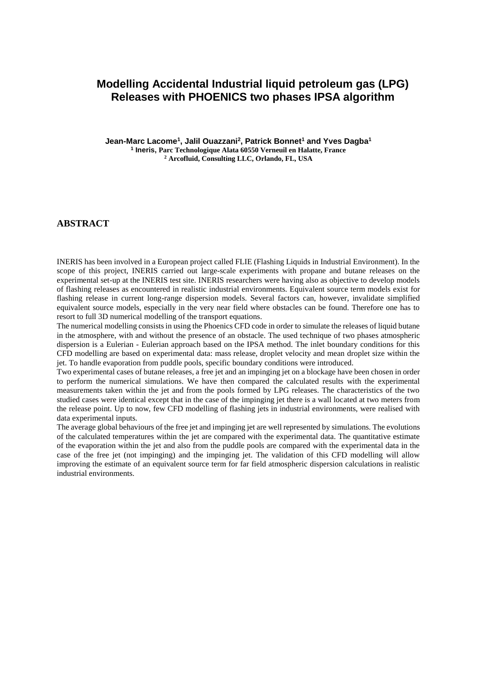# **Modelling Accidental Industrial liquid petroleum gas (LPG) Releases with PHOENICS two phases IPSA algorithm**

**Jean-Marc Lacome<sup>1</sup> , Jalil Ouazzani<sup>2</sup> , Patrick Bonnet<sup>1</sup> and Yves Dagba<sup>1</sup> 1 Ineris, Parc Technologique Alata 60550 Verneuil en Halatte, France <sup>2</sup> Arcofluid, Consulting LLC, Orlando, FL, USA**

#### **ABSTRACT**

INERIS has been involved in a European project called FLIE (Flashing Liquids in Industrial Environment). In the scope of this project, INERIS carried out large-scale experiments with propane and butane releases on the experimental set-up at the INERIS test site. INERIS researchers were having also as objective to develop models of flashing releases as encountered in realistic industrial environments. Equivalent source term models exist for flashing release in current long-range dispersion models. Several factors can, however, invalidate simplified equivalent source models, especially in the very near field where obstacles can be found. Therefore one has to resort to full 3D numerical modelling of the transport equations.

The numerical modelling consists in using the Phoenics CFD code in order to simulate the releases of liquid butane in the atmosphere, with and without the presence of an obstacle. The used technique of two phases atmospheric dispersion is a Eulerian - Eulerian approach based on the IPSA method. The inlet boundary conditions for this CFD modelling are based on experimental data: mass release, droplet velocity and mean droplet size within the jet. To handle evaporation from puddle pools, specific boundary conditions were introduced.

Two experimental cases of butane releases, a free jet and an impinging jet on a blockage have been chosen in order to perform the numerical simulations. We have then compared the calculated results with the experimental measurements taken within the jet and from the pools formed by LPG releases. The characteristics of the two studied cases were identical except that in the case of the impinging jet there is a wall located at two meters from the release point. Up to now, few CFD modelling of flashing jets in industrial environments, were realised with data experimental inputs.

The average global behaviours of the free jet and impinging jet are well represented by simulations. The evolutions of the calculated temperatures within the jet are compared with the experimental data. The quantitative estimate of the evaporation within the jet and also from the puddle pools are compared with the experimental data in the case of the free jet (not impinging) and the impinging jet. The validation of this CFD modelling will allow improving the estimate of an equivalent source term for far field atmospheric dispersion calculations in realistic industrial environments.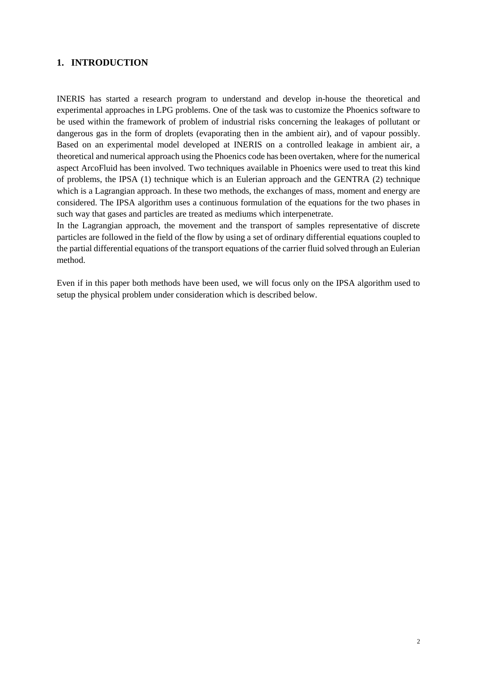## **1. INTRODUCTION**

INERIS has started a research program to understand and develop in-house the theoretical and experimental approaches in LPG problems. One of the task was to customize the Phoenics software to be used within the framework of problem of industrial risks concerning the leakages of pollutant or dangerous gas in the form of droplets (evaporating then in the ambient air), and of vapour possibly. Based on an experimental model developed at INERIS on a controlled leakage in ambient air, a theoretical and numerical approach using the Phoenics code has been overtaken, where for the numerical aspect ArcoFluid has been involved. Two techniques available in Phoenics were used to treat this kind of problems, the IPSA (1) technique which is an Eulerian approach and the GENTRA (2) technique which is a Lagrangian approach. In these two methods, the exchanges of mass, moment and energy are considered. The IPSA algorithm uses a continuous formulation of the equations for the two phases in such way that gases and particles are treated as mediums which interpenetrate.

In the Lagrangian approach, the movement and the transport of samples representative of discrete particles are followed in the field of the flow by using a set of ordinary differential equations coupled to the partial differential equations of the transport equations of the carrier fluid solved through an Eulerian method.

Even if in this paper both methods have been used, we will focus only on the IPSA algorithm used to setup the physical problem under consideration which is described below.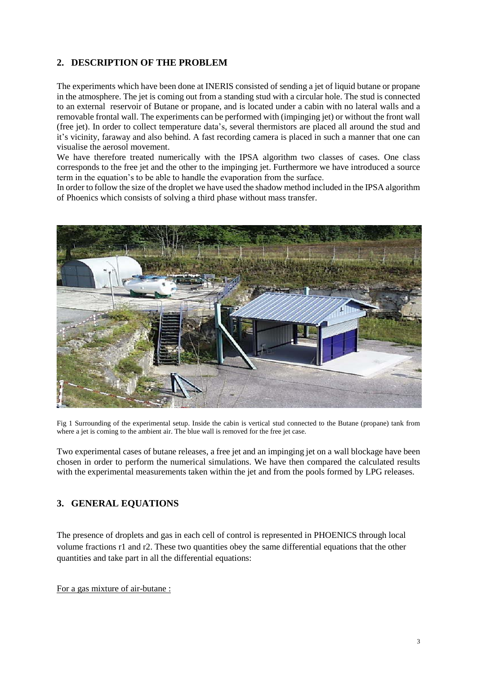## **2. DESCRIPTION OF THE PROBLEM**

The experiments which have been done at INERIS consisted of sending a jet of liquid butane or propane in the atmosphere. The jet is coming out from a standing stud with a circular hole. The stud is connected to an external reservoir of Butane or propane, and is located under a cabin with no lateral walls and a removable frontal wall. The experiments can be performed with (impinging jet) or without the front wall (free jet). In order to collect temperature data's, several thermistors are placed all around the stud and it's vicinity, faraway and also behind. A fast recording camera is placed in such a manner that one can visualise the aerosol movement.

We have therefore treated numerically with the IPSA algorithm two classes of cases. One class corresponds to the free jet and the other to the impinging jet. Furthermore we have introduced a source term in the equation's to be able to handle the evaporation from the surface.

In order to follow the size of the droplet we have used the shadow method included in the IPSA algorithm of Phoenics which consists of solving a third phase without mass transfer.



Fig 1 Surrounding of the experimental setup. Inside the cabin is vertical stud connected to the Butane (propane) tank from where a jet is coming to the ambient air. The blue wall is removed for the free jet case.

Two experimental cases of butane releases, a free jet and an impinging jet on a wall blockage have been chosen in order to perform the numerical simulations. We have then compared the calculated results with the experimental measurements taken within the jet and from the pools formed by LPG releases.

### **3. GENERAL EQUATIONS**

The presence of droplets and gas in each cell of control is represented in PHOENICS through local volume fractions r1 and r2. These two quantities obey the same differential equations that the other quantities and take part in all the differential equations:

For a gas mixture of air-butane :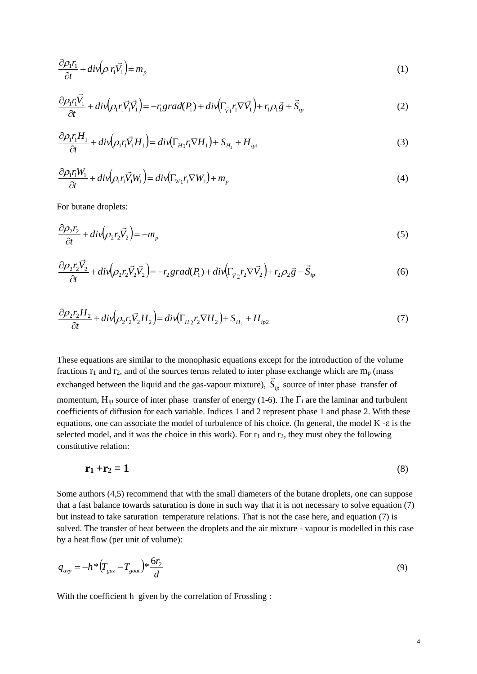$$
\frac{\partial \rho_1 r_1}{\partial t} + \operatorname{div}(\rho_1 r_1 \vec{V}_1) = m_p \tag{1}
$$

$$
\frac{\partial \rho_1 r_1 \vec{V}_1}{\partial t} + \operatorname{div}(\rho_1 r_1 \vec{V}_1 \vec{V}_1) = -r_1 \operatorname{grad}(P_1) + \operatorname{div}(\Gamma_{\vec{v}_1} r_1 \nabla \vec{V}_1) + r_1 \rho_1 \vec{g} + \vec{S}_{ip} \tag{2}
$$

$$
\frac{\partial \rho_1 r_1 H_1}{\partial t} + \operatorname{div}(\rho_1 r_1 \vec{V}_1 H_1) = \operatorname{div}(\Gamma_{H_1} r_1 \nabla H_1) + S_{H_1} + H_{ip1} \tag{3}
$$

$$
\frac{\partial \rho_1 r_1 W_1}{\partial t} + \frac{div(\rho_1 r_1 \vec{V}_1 W_1)}{dt} = \frac{div(\Gamma_{W_1} r_1 \nabla W_1)}{H_1} + m_p \tag{4}
$$

For butane droplets:

$$
\frac{\partial \rho_2 r_2}{\partial t} + \operatorname{div} (\rho_2 r_2 \vec{V}_2) = -m_p \tag{5}
$$

$$
\frac{\partial \rho_2 r_2 \vec{V}_2}{\partial t} + \operatorname{div} (\rho_2 r_2 \vec{V}_2 \vec{V}_2) = -r_2 \operatorname{grad}(P_1) + \operatorname{div} (\Gamma_{\vec{V}_2} r_2 \nabla \vec{V}_2) + r_2 \rho_2 \vec{g} - \vec{S}_{ip}
$$
(6)

$$
\frac{\partial \rho_2 r_2 H_2}{\partial t} + \operatorname{div} \left( \rho_2 r_2 \vec{V}_2 H_2 \right) = \operatorname{div} \left( \Gamma_{H_2} r_2 \nabla H_2 \right) + S_{H_2} + H_{ip2} \tag{7}
$$

These equations are similar to the monophasic equations except for the introduction of the volume fractions  $r_1$  and  $r_2$ , and of the sources terms related to inter phase exchange which are m<sub>p</sub> (mass exchanged between the liquid and the gas-vapour mixture),  $S_{ip}$  source of inter phase transfer of momentum,  $H_{ip}$  source of inter phase transfer of energy (1-6). The  $\Gamma_i$  are the laminar and turbulent coefficients of diffusion for each variable. Indices 1 and 2 represent phase 1 and phase 2. With these equations, one can associate the model of turbulence of his choice. (In general, the model  $K - \varepsilon$  is the selected model, and it was the choice in this work). For  $r_1$  and  $r_2$ , they must obey the following constitutive relation:

$$
\mathbf{r}_1 + \mathbf{r}_2 = 1 \tag{8}
$$

Some authors (4,5) recommend that with the small diameters of the butane droplets, one can suppose that a fast balance towards saturation is done in such way that it is not necessary to solve equation (7) but instead to take saturation temperature relations. That is not the case here, and equation (7) is solved. The transfer of heat between the droplets and the air mixture - vapour is modelled in this case by a heat flow (per unit of volume):

$$
q_{\text{avp}} = -h \cdot (T_{\text{gaz}} - T_{\text{gout}}) \cdot \frac{6r_2}{d}
$$
 (9)

With the coefficient h given by the correlation of Frossling :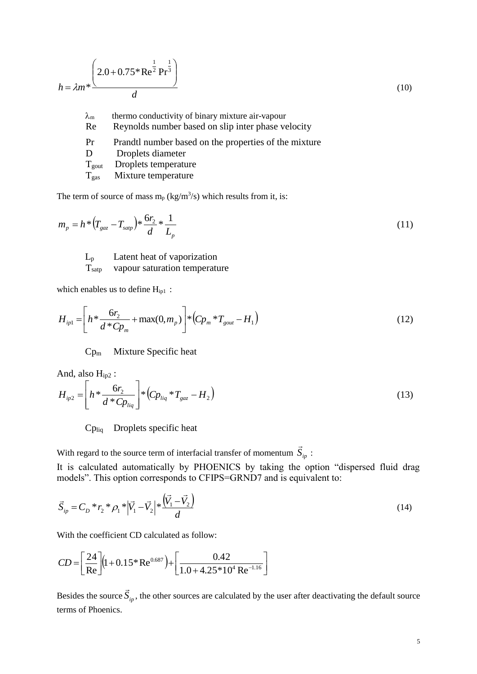$$
h = \lambda m^* \frac{\left(2.0 + 0.75^* \text{Re}^{\frac{1}{2}} \text{Pr}^{\frac{1}{3}}\right)}{d}
$$
\n
$$
\lambda_m \text{ thermo conductivity of binary mixture air-vapour}
$$
\n
$$
\text{Re} \text{Reynolds number based on slip inter phase velocity}
$$
\n(10)

| Pr               | Prandtl number based on the properties of the mixture |
|------------------|-------------------------------------------------------|
| $\mathbf{D}$     | Droplets diameter                                     |
| $T_{\text{out}}$ | Droplets temperature                                  |
| $T_{\text{gas}}$ | Mixture temperature                                   |
|                  |                                                       |

The term of source of mass  $m_p$  (kg/m<sup>3</sup>/s) which results from it, is:

$$
m_p = h^* (T_{\text{gaz}} - T_{\text{sup}})^* \frac{6r_2}{d} + \frac{1}{L_p}
$$
 (11)

L<sup>p</sup> Latent heat of vaporization Tsatp vapour saturation temperature

which enables us to define  $H_{ip1}$ :

$$
H_{ip1} = \left[ h^* \frac{6r_2}{d^* C p_m} + \max(0, m_p) \right] * \left( C p_m^* T_{gout} - H_1 \right) \tag{12}
$$

Cp<sup>m</sup> Mixture Specific heat

And, also  $H_{ip2}$ :

$$
H_{ip2} = \left[ h^* \frac{6r_2}{d^* C p_{liq}} \right] * \left( C p_{liq}^* T_{gaz} - H_2 \right) \tag{13}
$$

Cpliq Droplets specific heat

With regard to the source term of interfacial transfer of momentum *Sip*  $\rightarrow$ :

It is calculated automatically by PHOENICS by taking the option "dispersed fluid drag models". This option corresponds to CFIPS=GRND7 and is equivalent to:

$$
\vec{S}_{ip} = C_D * r_2 * \rho_1 * |\vec{V}_1 - \vec{V}_2| * \frac{(\vec{V}_1 - \vec{V}_2)}{d}
$$
\n(14)

With the coefficient CD calculated as follow:

$$
CD = \left[\frac{24}{\text{Re}}\right] \left(1 + 0.15 \times \text{Re}^{0.687}\right) + \left[\frac{0.42}{1.0 + 4.25 \times 10^4 \text{Re}^{-1.16}}\right]
$$

Besides the source *Sip*  $\rightarrow$ , the other sources are calculated by the user after deactivating the default source terms of Phoenics.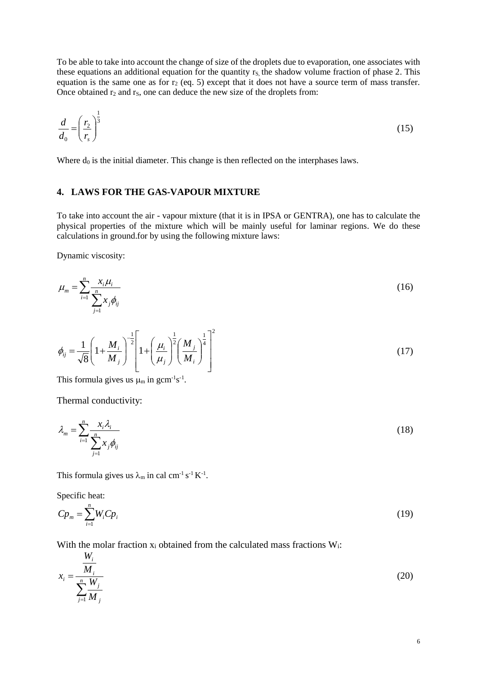To be able to take into account the change of size of the droplets due to evaporation, one associates with these equations an additional equation for the quantity  $r<sub>S</sub>$ , the shadow volume fraction of phase 2. This equation is the same one as for  $r_2$  (eq. 5) except that it does not have a source term of mass transfer. Once obtained  $r_2$  and  $r_5$ , one can deduce the new size of the droplets from:

$$
\frac{d}{d_0} = \left(\frac{r_2}{r_s}\right)^{\frac{1}{3}}\tag{15}
$$

Where  $d_0$  is the initial diameter. This change is then reflected on the interphases laws.

#### **4. LAWS FOR THE GAS-VAPOUR MIXTURE**

To take into account the air - vapour mixture (that it is in IPSA or GENTRA), one has to calculate the physical properties of the mixture which will be mainly useful for laminar regions. We do these calculations in ground.for by using the following mixture laws:

Dynamic viscosity:

$$
\mu_m = \sum_{i=1}^n \frac{x_i \mu_i}{\sum_{j=1}^n x_j \phi_{ij}} \tag{16}
$$

$$
\phi_{ij} = \frac{1}{\sqrt{8}} \left( 1 + \frac{M_i}{M_j} \right)^{-\frac{1}{2}} \left[ 1 + \left( \frac{\mu_i}{\mu_j} \right)^{\frac{1}{2}} \left( \frac{M_j}{M_i} \right)^{\frac{1}{4}} \right]^2
$$
\n(17)

This formula gives us  $\mu_m$  in gcm<sup>-1</sup>s<sup>-1</sup>.

Thermal conductivity:

$$
\lambda_m = \sum_{i=1}^n \frac{x_i \lambda_i}{\sum_{j=1}^n x_j \phi_{ij}} \tag{18}
$$

This formula gives us  $\lambda_m$  in cal cm<sup>-1</sup> s<sup>-1</sup> K<sup>-1</sup>.

Specific heat:

$$
C p_m = \sum_{i=1}^n W_i C p_i \tag{19}
$$

With the molar fraction  $x_i$  obtained from the calculated mass fractions  $W_i$ :

$$
x_i = \frac{\frac{W_i}{M_i}}{\sum_{j=1}^n \frac{W_j}{M_j}}
$$
(20)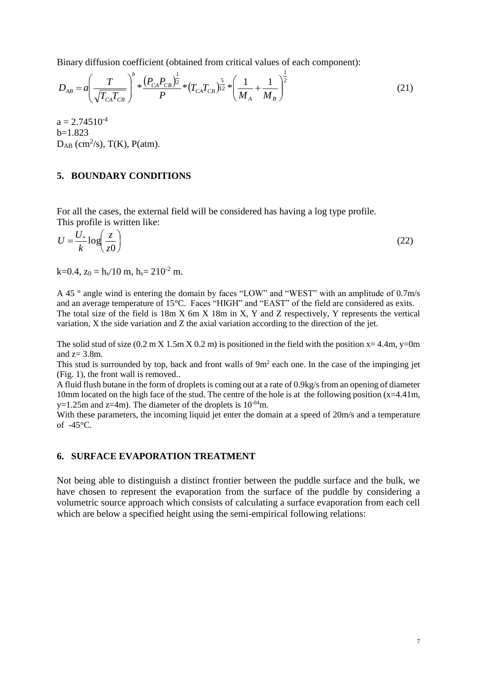Binary diffusion coefficient (obtained from critical values of each component):

$$
D_{AB} = a \left( \frac{T}{\sqrt{T_{CA} T_{CB}}} \right)^{b} * \frac{(P_{CA} P_{CB})^{\frac{1}{2}}}{P} * (T_{CA} T_{CB})^{\frac{5}{12}} * \left( \frac{1}{M_A} + \frac{1}{M_B} \right)^{\frac{1}{2}}
$$
(21)

 $a = 2.74510^{-4}$ b=1.823  $D_{AB}$  (cm<sup>2</sup>/s), T(K), P(atm).

#### **5. BOUNDARY CONDITIONS**

For all the cases, the external field will be considered has having a log type profile. This profile is written like:

$$
U = \frac{U_*}{k} \log \left( \frac{z}{z0} \right) \tag{22}
$$

 $k=0.4$ ,  $z_0 = h_s/10$  m,  $h_s = 210^{-2}$  m.

A 45 ° angle wind is entering the domain by faces "LOW" and "WEST" with an amplitude of 0.7m/s and an average temperature of 15°C. Faces "HIGH" and "EAST" of the field are considered as exits. The total size of the field is 18m X 6m X 18m in X, Y and Z respectively, Y represents the vertical variation, X the side variation and Z the axial variation according to the direction of the jet.

The solid stud of size  $(0.2 \text{ m X } 1.5 \text{ m X } 0.2 \text{ m})$  is positioned in the field with the position  $x = 4.4 \text{ m}$ , y=0m and  $z=3.8m$ .

This stud is surrounded by top, back and front walls of  $9m<sup>2</sup>$  each one. In the case of the impinging jet (Fig. 1), the front wall is removed..

A fluid flush butane in the form of droplets is coming out at a rate of 0.9kg/s from an opening of diameter 10mm located on the high face of the stud. The centre of the hole is at the following position  $(x=4.41m$ , y=1.25m and z=4m). The diameter of the droplets is  $10^{-04}$ m.

With these parameters, the incoming liquid jet enter the domain at a speed of 20m/s and a temperature of -45°C.

#### **6. SURFACE EVAPORATION TREATMENT**

Not being able to distinguish a distinct frontier between the puddle surface and the bulk, we have chosen to represent the evaporation from the surface of the puddle by considering a volumetric source approach which consists of calculating a surface evaporation from each cell which are below a specified height using the semi-empirical following relations: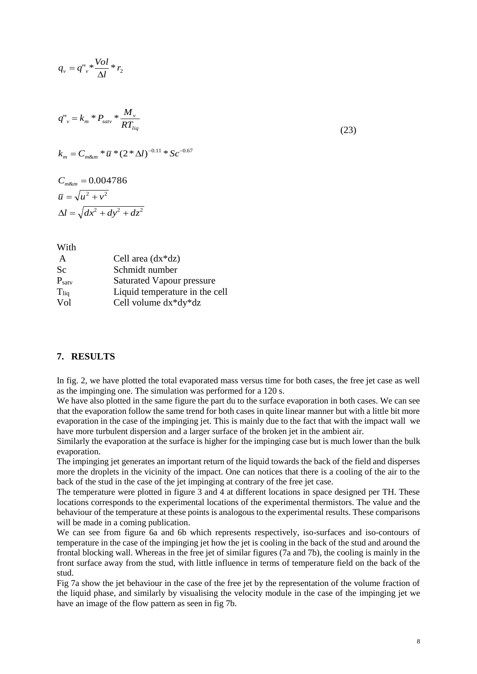$$
q_{v} = q_{v}^{n} * \frac{Vol}{\Delta l} * r_{2}
$$

$$
q^{"}_{v} = k_m * P_{\text{satv}} * \frac{M_v}{RT_{liq}}
$$
\n(23)

$$
k_m = C_{m\&m} * \overline{u} * (2*\Delta l)^{-0.11} * Sc^{-0.67}
$$

$$
C_{m\&m} = 0.004786
$$

$$
\overline{u} = \sqrt{u^2 + v^2}
$$

$$
\Delta l = \sqrt{dx^2 + dy^2 + dz^2}
$$

With

| A                 | Cell area $(dx * dz)$          |
|-------------------|--------------------------------|
| Sc                | Schmidt number                 |
| $P_{\text{satv}}$ | Saturated Vapour pressure      |
| $T_{liq}$         | Liquid temperature in the cell |
| Vol               | Cell volume $dx * dy * dz$     |

## **7. RESULTS**

In fig. 2, we have plotted the total evaporated mass versus time for both cases, the free jet case as well as the impinging one. The simulation was performed for a 120 s.

We have also plotted in the same figure the part du to the surface evaporation in both cases. We can see that the evaporation follow the same trend for both cases in quite linear manner but with a little bit more evaporation in the case of the impinging jet. This is mainly due to the fact that with the impact wall we have more turbulent dispersion and a larger surface of the broken jet in the ambient air.

Similarly the evaporation at the surface is higher for the impinging case but is much lower than the bulk evaporation.

The impinging jet generates an important return of the liquid towards the back of the field and disperses more the droplets in the vicinity of the impact. One can notices that there is a cooling of the air to the back of the stud in the case of the jet impinging at contrary of the free jet case.

The temperature were plotted in figure 3 and 4 at different locations in space designed per TH. These locations corresponds to the experimental locations of the experimental thermistors. The value and the behaviour of the temperature at these points is analogous to the experimental results. These comparisons will be made in a coming publication.

We can see from figure 6a and 6b which represents respectively, iso-surfaces and iso-contours of temperature in the case of the impinging jet how the jet is cooling in the back of the stud and around the frontal blocking wall. Whereas in the free jet of similar figures (7a and 7b), the cooling is mainly in the front surface away from the stud, with little influence in terms of temperature field on the back of the stud.

Fig 7a show the jet behaviour in the case of the free jet by the representation of the volume fraction of the liquid phase, and similarly by visualising the velocity module in the case of the impinging jet we have an image of the flow pattern as seen in fig 7b.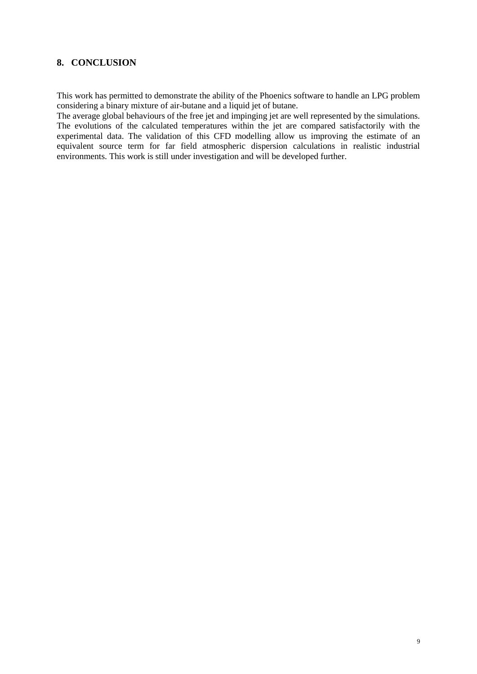## **8. CONCLUSION**

This work has permitted to demonstrate the ability of the Phoenics software to handle an LPG problem considering a binary mixture of air-butane and a liquid jet of butane.

The average global behaviours of the free jet and impinging jet are well represented by the simulations. The evolutions of the calculated temperatures within the jet are compared satisfactorily with the experimental data. The validation of this CFD modelling allow us improving the estimate of an equivalent source term for far field atmospheric dispersion calculations in realistic industrial environments. This work is still under investigation and will be developed further.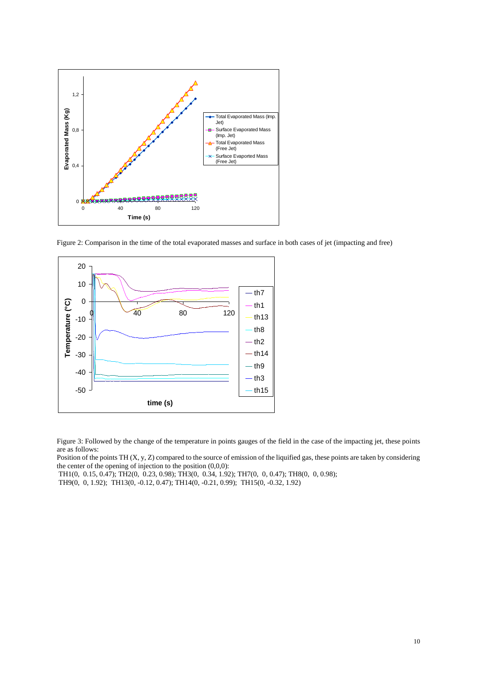

Figure 2: Comparison in the time of the total evaporated masses and surface in both cases of jet (impacting and free)



Figure 3: Followed by the change of the temperature in points gauges of the field in the case of the impacting jet, these points are as follows:

Position of the points TH (X, y, Z) compared to the source of emission of the liquified gas, these points are taken by considering the center of the opening of injection to the position (0,0,0):

TH1(0, 0.15, 0.47); TH2(0, 0.23, 0.98); TH3(0, 0.34, 1.92); TH7(0, 0, 0.47); TH8(0, 0, 0.98);

TH9(0, 0, 1.92); TH13(0, -0.12, 0.47); TH14(0, -0.21, 0.99); TH15(0, -0.32, 1.92)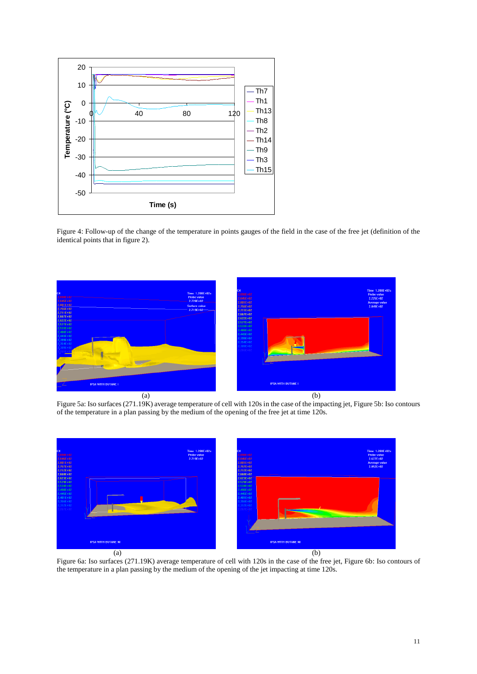

Figure 4: Follow-up of the change of the temperature in points gauges of the field in the case of the free jet (definition of the identical points that in figure 2).



Figure 5a: Iso surfaces (271.19K) average temperature of cell with 120s in the case of the impacting jet, Figure 5b: Iso contours of the temperature in a plan passing by the medium of the opening of the free jet at time 120s.



Figure 6a: Iso surfaces (271.19K) average temperature of cell with 120s in the case of the free jet, Figure 6b: Iso contours of the temperature in a plan passing by the medium of the opening of the jet impacting at time 120s.